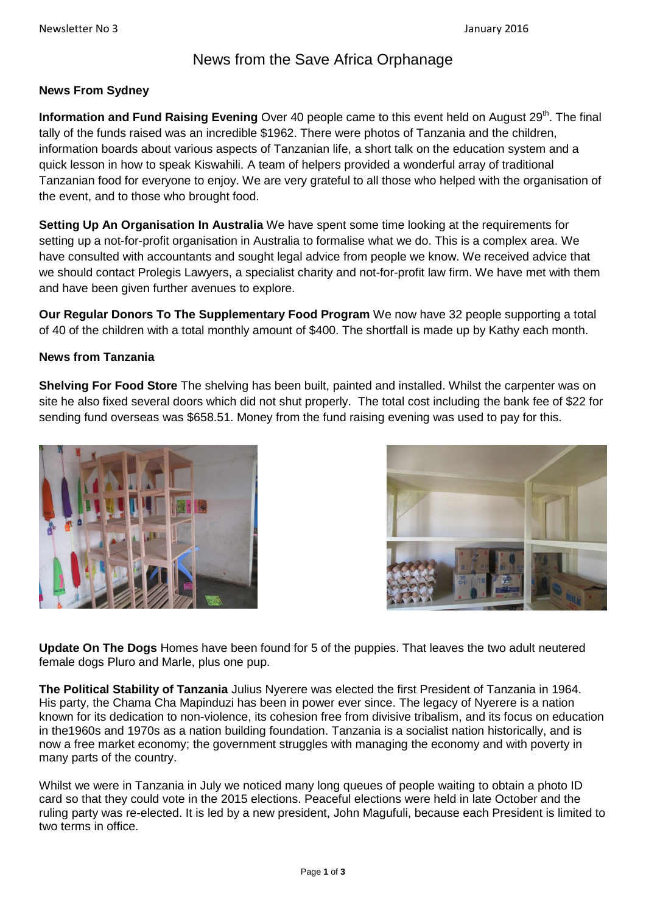# News from the Save Africa Orphanage

#### **News From Sydney**

**Information and Fund Raising Evening** Over 40 people came to this event held on August 29<sup>th</sup>. The final tally of the funds raised was an incredible \$1962. There were photos of Tanzania and the children, information boards about various aspects of Tanzanian life, a short talk on the education system and a quick lesson in how to speak Kiswahili. A team of helpers provided a wonderful array of traditional Tanzanian food for everyone to enjoy. We are very grateful to all those who helped with the organisation of the event, and to those who brought food.

**Setting Up An Organisation In Australia** We have spent some time looking at the requirements for setting up a not-for-profit organisation in Australia to formalise what we do. This is a complex area. We have consulted with accountants and sought legal advice from people we know. We received advice that we should contact Prolegis Lawyers, a specialist charity and not-for-profit law firm. We have met with them and have been given further avenues to explore.

**Our Regular Donors To The Supplementary Food Program** We now have 32 people supporting a total of 40 of the children with a total monthly amount of \$400. The shortfall is made up by Kathy each month.

#### **News from Tanzania**

**Shelving For Food Store** The shelving has been built, painted and installed. Whilst the carpenter was on site he also fixed several doors which did not shut properly. The total cost including the bank fee of \$22 for sending fund overseas was \$658.51. Money from the fund raising evening was used to pay for this.





**Update On The Dogs** Homes have been found for 5 of the puppies. That leaves the two adult neutered female dogs Pluro and Marle, plus one pup.

**The Political Stability of Tanzania** Julius Nyerere was elected the first President of Tanzania in 1964. His party, the Chama Cha Mapinduzi has been in power ever since. The legacy of Nyerere is a nation known for its dedication to non-violence, its cohesion free from divisive tribalism, and its focus on education in the1960s and 1970s as a nation building foundation. Tanzania is a socialist nation historically, and is now a free market economy; the government struggles with managing the economy and with poverty in many parts of the country.

Whilst we were in Tanzania in July we noticed many long queues of people waiting to obtain a photo ID card so that they could vote in the 2015 elections. Peaceful elections were held in late October and the ruling party was re-elected. It is led by a new president, John Magufuli, because each President is limited to two terms in office.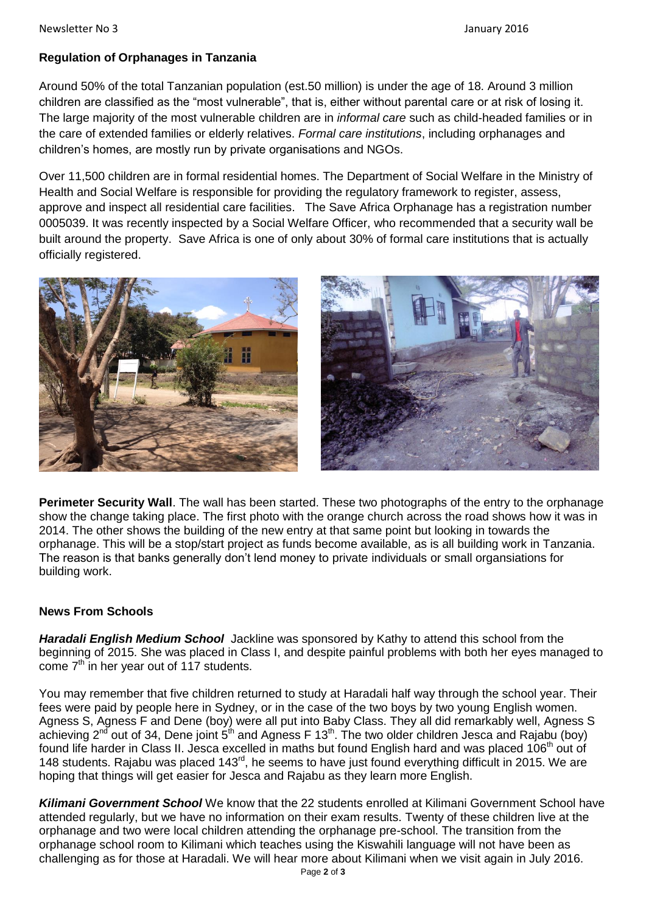## **Regulation of Orphanages in Tanzania**

Around 50% of the total Tanzanian population (est.50 million) is under the age of 18. Around 3 million children are classified as the "most vulnerable", that is, either without parental care or at risk of losing it. The large majority of the most vulnerable children are in *informal care* such as child-headed families or in the care of extended families or elderly relatives. *Formal care institutions*, including orphanages and children's homes, are mostly run by private organisations and NGOs.

Over 11,500 children are in formal residential homes. The Department of Social Welfare in the Ministry of Health and Social Welfare is responsible for providing the regulatory framework to register, assess, approve and inspect all residential care facilities. The Save Africa Orphanage has a registration number 0005039. It was recently inspected by a Social Welfare Officer, who recommended that a security wall be built around the property. Save Africa is one of only about 30% of formal care institutions that is actually officially registered.





**Perimeter Security Wall**. The wall has been started. These two photographs of the entry to the orphanage show the change taking place. The first photo with the orange church across the road shows how it was in 2014. The other shows the building of the new entry at that same point but looking in towards the orphanage. This will be a stop/start project as funds become available, as is all building work in Tanzania. The reason is that banks generally don't lend money to private individuals or small organsiations for building work.

### **News From Schools**

*Haradali English Medium School* Jackline was sponsored by Kathy to attend this school from the beginning of 2015. She was placed in Class I, and despite painful problems with both her eyes managed to come  $7<sup>th</sup>$  in her year out of 117 students.

You may remember that five children returned to study at Haradali half way through the school year. Their fees were paid by people here in Sydney, or in the case of the two boys by two young English women. Agness S, Agness F and Dene (boy) were all put into Baby Class. They all did remarkably well, Agness S achieving 2<sup>nd</sup> out of 34, Dene joint 5<sup>th</sup> and Agness F 13<sup>th</sup>. The two older children Jesca and Rajabu (boy) found life harder in Class II. Jesca excelled in maths but found English hard and was placed 106<sup>th</sup> out of 148 students. Rajabu was placed 143<sup>rd</sup>, he seems to have just found everything difficult in 2015. We are hoping that things will get easier for Jesca and Rajabu as they learn more English.

*Kilimani Government School* We know that the 22 students enrolled at Kilimani Government School have attended regularly, but we have no information on their exam results. Twenty of these children live at the orphanage and two were local children attending the orphanage pre-school. The transition from the orphanage school room to Kilimani which teaches using the Kiswahili language will not have been as challenging as for those at Haradali. We will hear more about Kilimani when we visit again in July 2016.